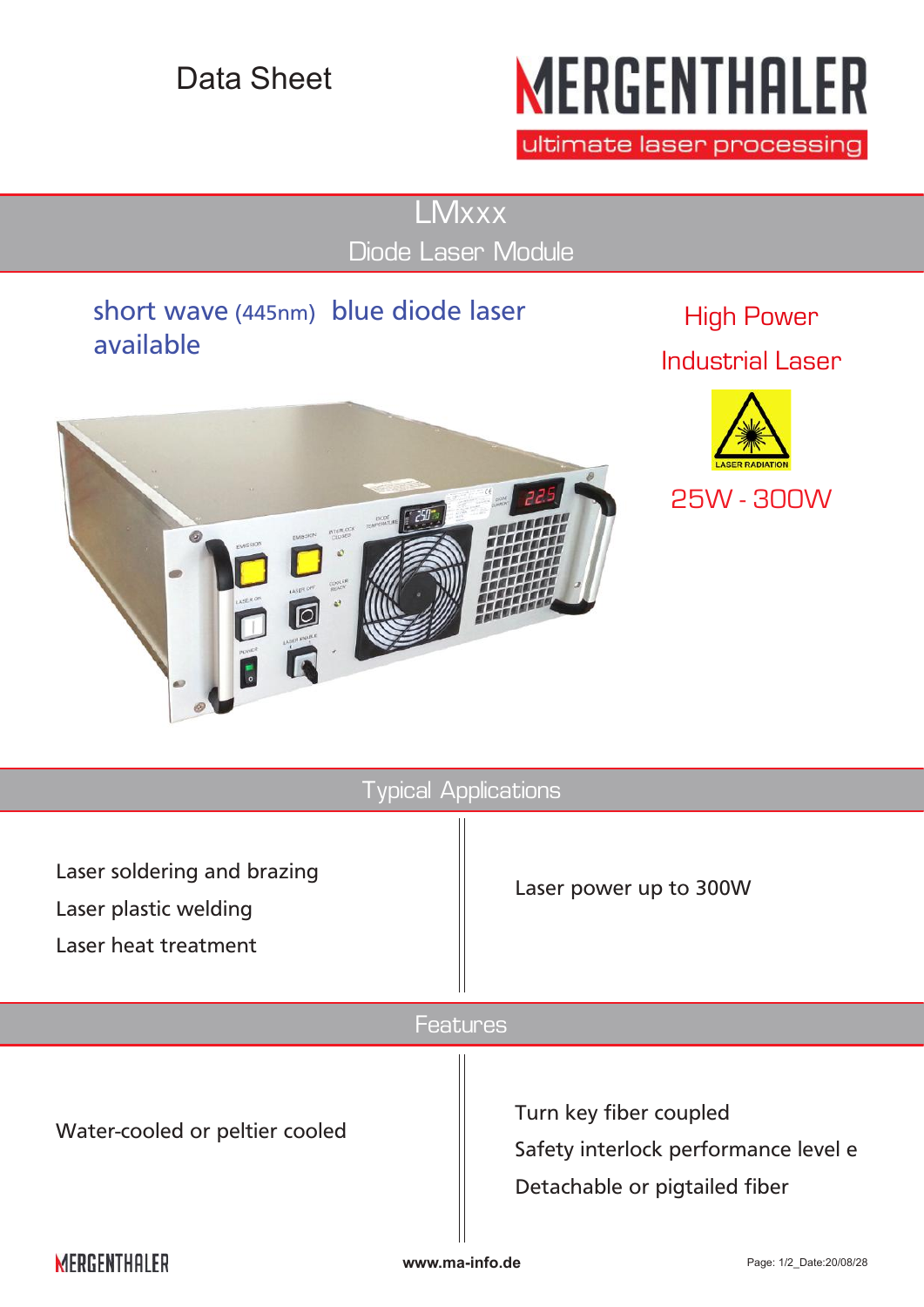## Data Sheet

# **MERGENTHALER**

ultimate laser processing

**LMxxx** Diode Laser Module

### short wave (445nm) blue diode laser available

**NTERLOC** 

High Power Industrial Laser





**MERGENTHALER** 

**www.ma-info.de** Page: 1/2\_Date:20/08/28